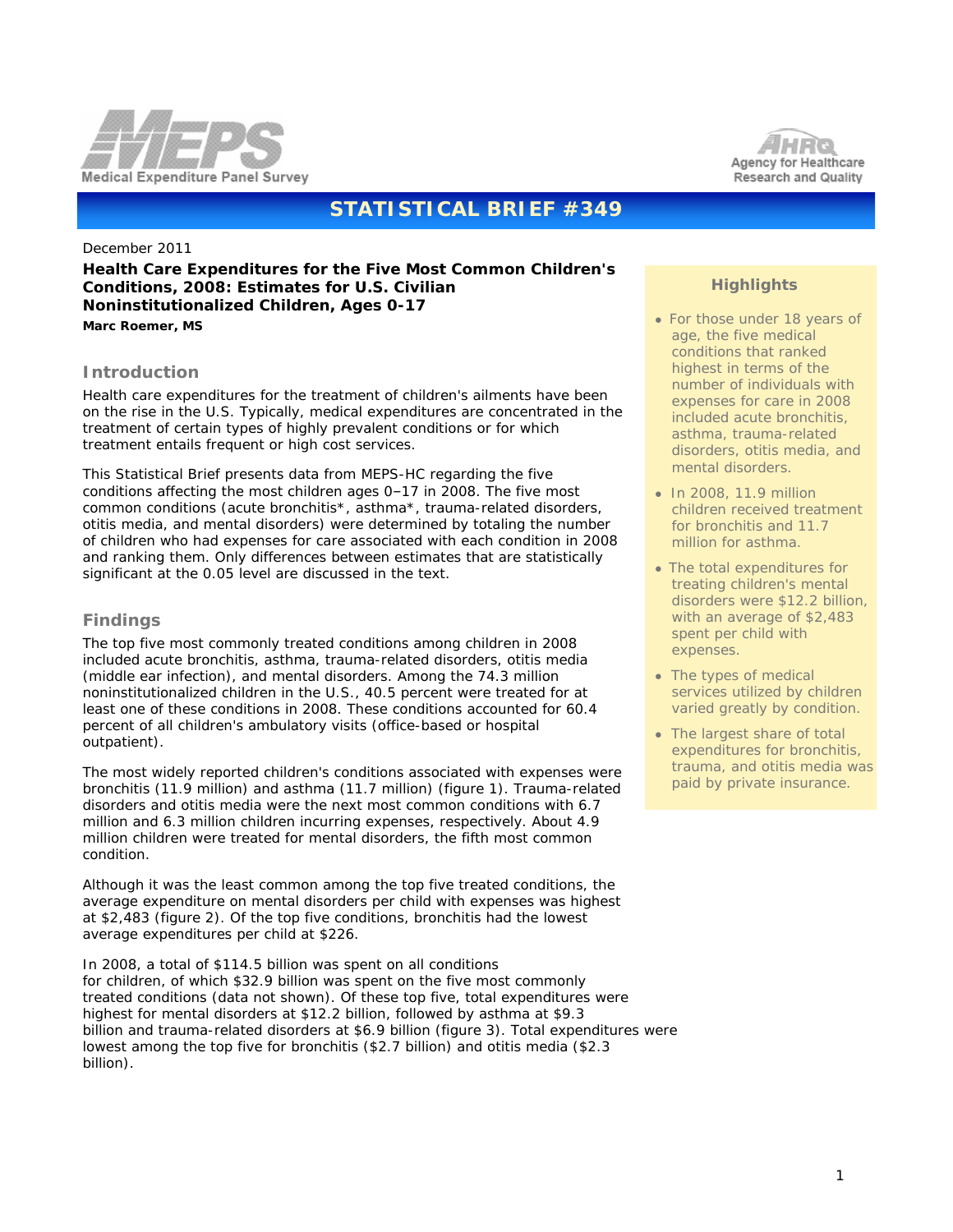



# **STATISTICAL BRIEF #349**

December 2011

**Health Care Expenditures for the Five Most Common Children's Conditions, 2008: Estimates for U.S. Civilian Noninstitutionalized Children, Ages 0-17** *Marc Roemer, MS*

### **Introduction**

Health care expenditures for the treatment of children's ailments have been on the rise in the U.S. Typically, medical expenditures are concentrated in the treatment of certain types of highly prevalent conditions or for which treatment entails frequent or high cost services.

This Statistical Brief presents data from MEPS-HC regarding the five conditions affecting the most children ages 0–17 in 2008. The five most common conditions (acute bronchitis\*, asthma\*, trauma-related disorders, otitis media, and mental disorders) were determined by totaling the number of children who had expenses for care associated with each condition in 2008 and ranking them. Only differences between estimates that are statistically significant at the 0.05 level are discussed in the text.

## **Findings**

The top five most commonly treated conditions among children in 2008 included acute bronchitis, asthma, trauma-related disorders, otitis media (middle ear infection), and mental disorders. Among the 74.3 million noninstitutionalized children in the U.S., 40.5 percent were treated for at least one of these conditions in 2008. These conditions accounted for 60.4 percent of all children's ambulatory visits (office-based or hospital outpatient).

The most widely reported children's conditions associated with expenses were bronchitis (11.9 million) and asthma (11.7 million) (figure 1). Trauma-related disorders and otitis media were the next most common conditions with 6.7 million and 6.3 million children incurring expenses, respectively. About 4.9 million children were treated for mental disorders, the fifth most common condition.

Although it was the least common among the top five treated conditions, the average expenditure on mental disorders per child with expenses was highest at \$2,483 (figure 2). Of the top five conditions, bronchitis had the lowest average expenditures per child at \$226.

In 2008, a total of \$114.5 billion was spent on all conditions for children, of which \$32.9 billion was spent on the five most commonly treated conditions (data not shown). Of these top five, total expenditures were highest for mental disorders at \$12.2 billion, followed by asthma at \$9.3 billion and trauma-related disorders at \$6.9 billion (figure 3). Total expenditures were lowest among the top five for bronchitis (\$2.7 billion) and otitis media (\$2.3 billion).

## **Highlights**

- For those under 18 years of age, the five medical conditions that ranked highest in terms of the number of individuals with expenses for care in 2008 included acute bronchitis, asthma, trauma-related disorders, otitis media, and mental disorders.
- In 2008, 11.9 million children received treatment for bronchitis and 11.7 million for asthma.
- The total expenditures for treating children's mental disorders were \$12.2 billion, with an average of \$2,483 spent per child with expenses.
- The types of medical services utilized by children varied greatly by condition.
- The largest share of total expenditures for bronchitis, trauma, and otitis media was paid by private insurance.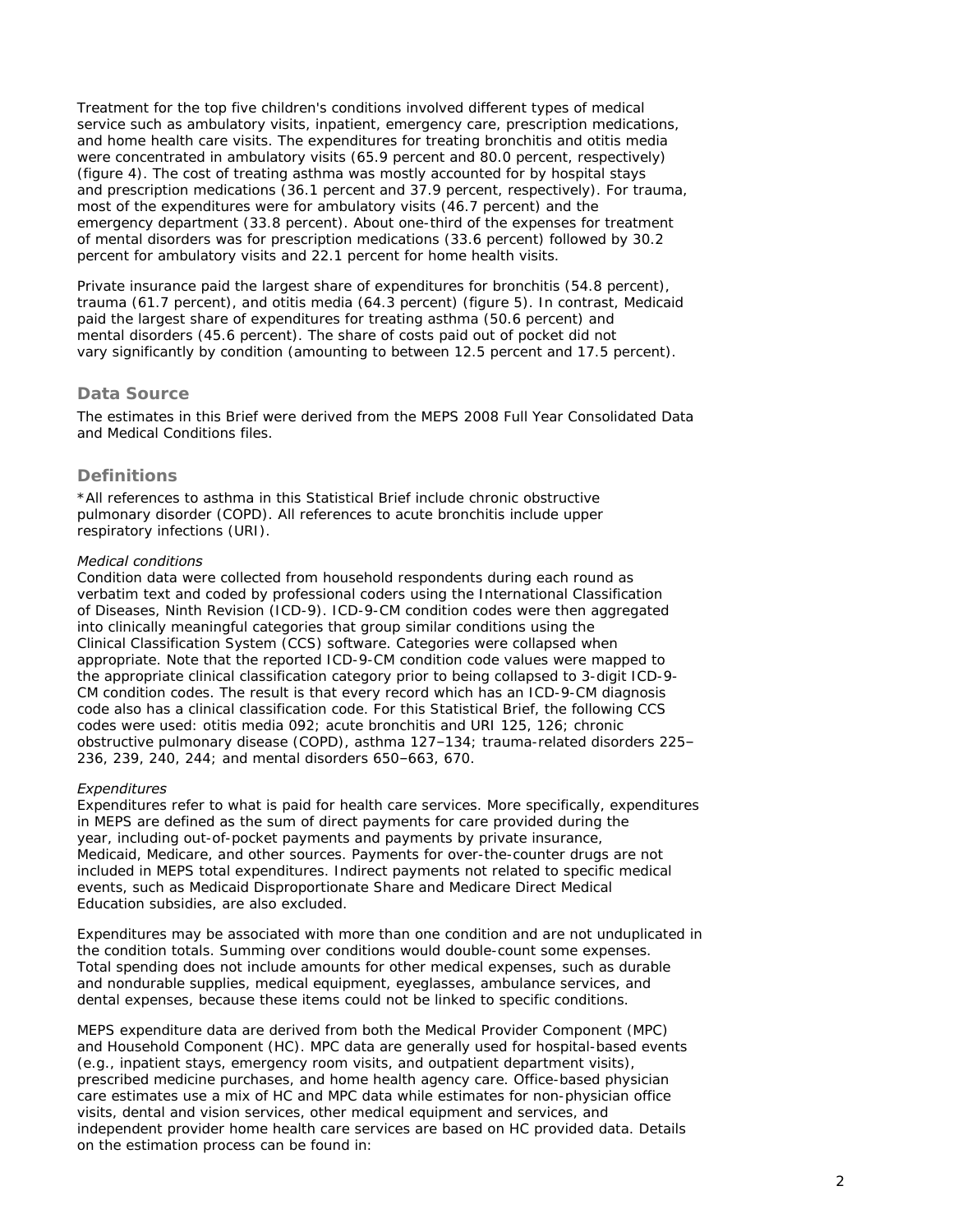Treatment for the top five children's conditions involved different types of medical service such as ambulatory visits, inpatient, emergency care, prescription medications, and home health care visits. The expenditures for treating bronchitis and otitis media were concentrated in ambulatory visits (65.9 percent and 80.0 percent, respectively) (figure 4). The cost of treating asthma was mostly accounted for by hospital stays and prescription medications (36.1 percent and 37.9 percent, respectively). For trauma, most of the expenditures were for ambulatory visits (46.7 percent) and the emergency department (33.8 percent). About one-third of the expenses for treatment of mental disorders was for prescription medications (33.6 percent) followed by 30.2 percent for ambulatory visits and 22.1 percent for home health visits.

Private insurance paid the largest share of expenditures for bronchitis (54.8 percent), trauma (61.7 percent), and otitis media (64.3 percent) (figure 5). In contrast, Medicaid paid the largest share of expenditures for treating asthma (50.6 percent) and mental disorders (45.6 percent). The share of costs paid out of pocket did not vary significantly by condition (amounting to between 12.5 percent and 17.5 percent).

### **Data Source**

The estimates in this Brief were derived from the MEPS 2008 Full Year Consolidated Data and Medical Conditions files.

### **Definitions**

\*All references to asthma in this Statistical Brief include chronic obstructive pulmonary disorder (COPD). All references to acute bronchitis include upper respiratory infections (URI).

#### *Medical conditions*

Condition data were collected from household respondents during each round as verbatim text and coded by professional coders using the International Classification of Diseases, Ninth Revision (ICD-9). ICD-9-CM condition codes were then aggregated into clinically meaningful categories that group similar conditions using the Clinical Classification System (CCS) software. Categories were collapsed when appropriate. Note that the reported ICD-9-CM condition code values were mapped to the appropriate clinical classification category prior to being collapsed to 3-digit ICD-9- CM condition codes. The result is that every record which has an ICD-9-CM diagnosis code also has a clinical classification code. For this Statistical Brief, the following CCS codes were used: otitis media 092; acute bronchitis and URI 125, 126; chronic obstructive pulmonary disease (COPD), asthma 127–134; trauma-related disorders 225– 236, 239, 240, 244; and mental disorders 650–663, 670.

#### *Expenditures*

Expenditures refer to what is paid for health care services. More specifically, expenditures in MEPS are defined as the sum of direct payments for care provided during the year, including out-of-pocket payments and payments by private insurance, Medicaid, Medicare, and other sources. Payments for over-the-counter drugs are not included in MEPS total expenditures. Indirect payments not related to specific medical events, such as Medicaid Disproportionate Share and Medicare Direct Medical Education subsidies, are also excluded.

Expenditures may be associated with more than one condition and are not unduplicated in the condition totals. Summing over conditions would double-count some expenses. Total spending does not include amounts for other medical expenses, such as durable and nondurable supplies, medical equipment, eyeglasses, ambulance services, and dental expenses, because these items could not be linked to specific conditions.

MEPS expenditure data are derived from both the Medical Provider Component (MPC) and Household Component (HC). MPC data are generally used for hospital-based events (e.g., inpatient stays, emergency room visits, and outpatient department visits), prescribed medicine purchases, and home health agency care. Office-based physician care estimates use a mix of HC and MPC data while estimates for non-physician office visits, dental and vision services, other medical equipment and services, and independent provider home health care services are based on HC provided data. Details on the estimation process can be found in: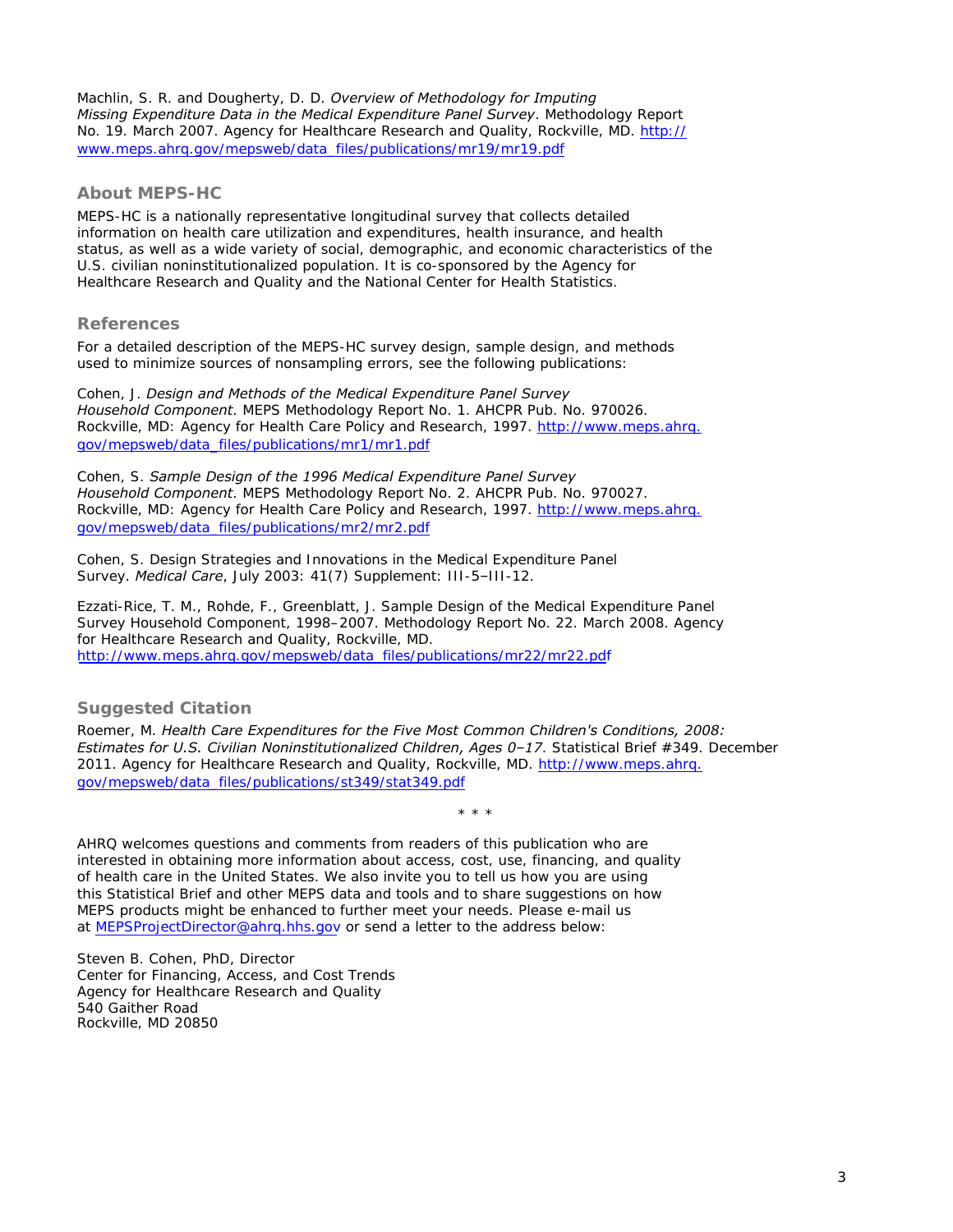Machlin, S. R. and Dougherty, D. D. *Overview of Methodology for Imputing Missing Expenditure Data in the Medical Expenditure Panel Survey*. Methodology Report No. 19. March 2007. Agency for Healthcare Research and Quality, Rockville, MD. [http://](http://www.meps.ahrq.gov/mepsweb/data_files/publications/mr19/mr19.pdf) [www.meps.ahrq.gov/mepsweb/data\\_files/publications/mr19/mr19.pdf](http://www.meps.ahrq.gov/mepsweb/data_files/publications/mr19/mr19.pdf)

### **About MEPS-HC**

MEPS-HC is a nationally representative longitudinal survey that collects detailed information on health care utilization and expenditures, health insurance, and health status, as well as a wide variety of social, demographic, and economic characteristics of the U.S. civilian noninstitutionalized population. It is co-sponsored by the Agency for Healthcare Research and Quality and the National Center for Health Statistics.

### **References**

For a detailed description of the MEPS-HC survey design, sample design, and methods used to minimize sources of nonsampling errors, see the following publications:

Cohen, J. *Design and Methods of the Medical Expenditure Panel Survey Household Component*. MEPS Methodology Report No. 1. AHCPR Pub. No. 970026. Rockville, MD: Agency for Health Care Policy and Research, 1997. [http://www.meps.ahrq.](http://www.meps.ahrq.gov/mepsweb/data_files/publications/mr1/mr1.pdf) [gov/mepsweb/data\\_files/publications/mr1/mr1.pdf](http://www.meps.ahrq.gov/mepsweb/data_files/publications/mr1/mr1.pdf)

Cohen, S. *Sample Design of the 1996 Medical Expenditure Panel Survey Household Component*. MEPS Methodology Report No. 2. AHCPR Pub. No. 970027. Rockville, MD: Agency for Health Care Policy and Research, 1997. [http://www.meps.ahrq.](http://www.meps.ahrq.gov/mepsweb/data_files/publications/mr2/mr2.pdf) [gov/mepsweb/data\\_files/publications/mr2/mr2.pdf](http://www.meps.ahrq.gov/mepsweb/data_files/publications/mr2/mr2.pdf)

Cohen, S. Design Strategies and Innovations in the Medical Expenditure Panel Survey. *Medical Care*, July 2003: 41(7) Supplement: III-5–III-12.

Ezzati-Rice, T. M., Rohde, F., Greenblatt, J. *Sample Design of the Medical Expenditure Panel Survey Household Component, 1998–2007*. Methodology Report No. 22. March 2008. Agency *for Healthcare Research and Quality, Rockville, MD.* [http://www.meps.ahrq.gov/mepsweb/data\\_files/publications/mr22/mr22.pdf](http://www.meps.ahrq.gov/mepsweb/data_files/publications/mr22/mr22.pdf) 

## **Suggested Citation**

Roemer, M. *Health Care Expenditures for the Five Most Common Children's Conditions, 2008: Estimates for U.S. Civilian Noninstitutionalized Children, Ages 0–17*. Statistical Brief #349. December 2011. Agency for Healthcare Research and Quality, Rockville, MD. [http://www.meps.ahrq.](http://www.meps.ahrq.gov/mepsweb/data_files/publications/st349/stat349.pdf) [gov/mepsweb/data\\_files/publications/st349/stat349.pdf](http://www.meps.ahrq.gov/mepsweb/data_files/publications/st349/stat349.pdf)

\* \* \*

AHRQ welcomes questions and comments from readers of this publication who are interested in obtaining more information about access, cost, use, financing, and quality of health care in the United States. We also invite you to tell us how you are using this Statistical Brief and other MEPS data and tools and to share suggestions on how MEPS products might be enhanced to further meet your needs. Please e-mail us at [MEPSProjectDirector@ahrq.hhs.gov](mailto:MEPSProjectDirector@ahrq.hhs.gov) or send a letter to the address below:

Steven B. Cohen, PhD, Director Center for Financing, Access, and Cost Trends Agency for Healthcare Research and Quality 540 Gaither Road Rockville, MD 20850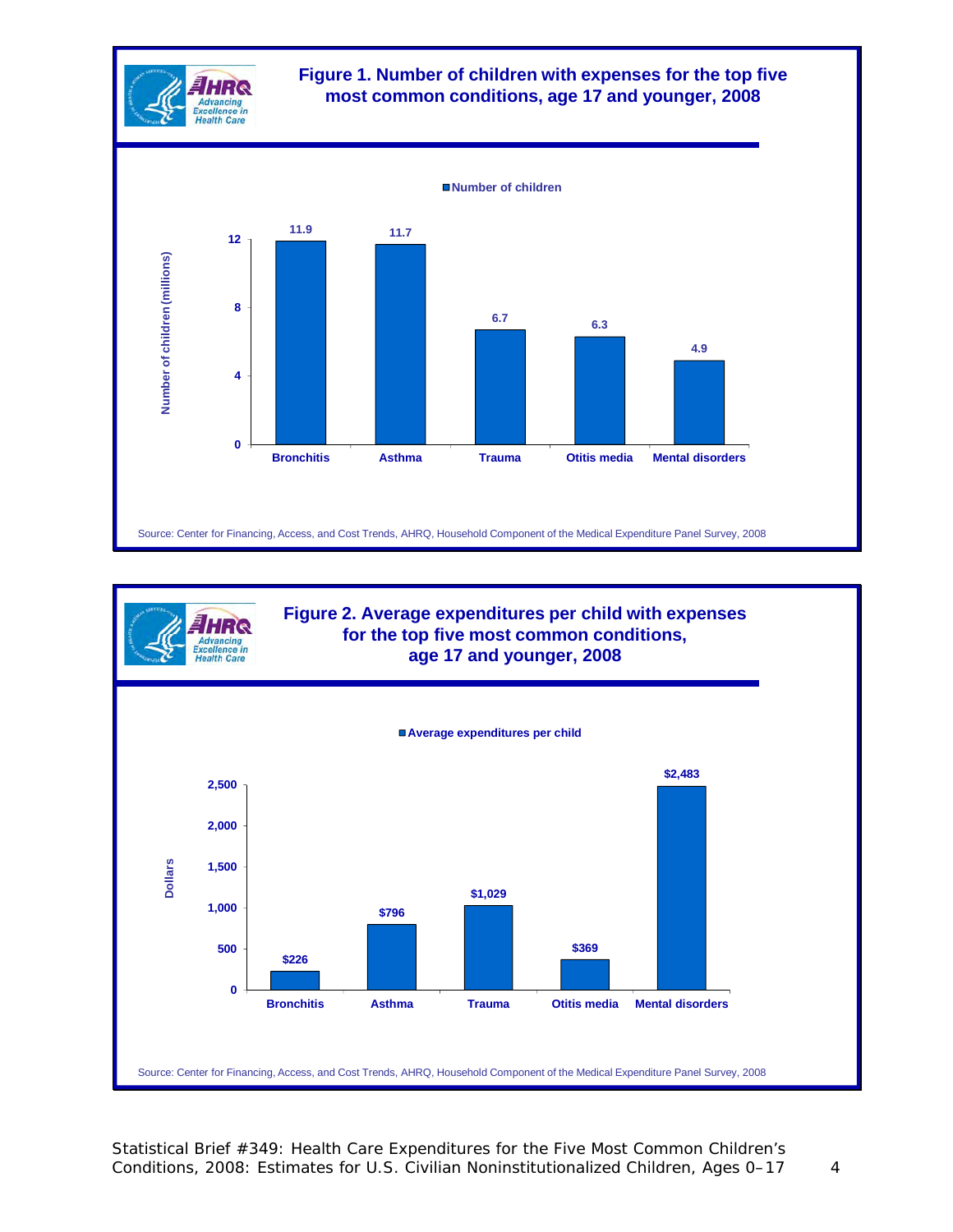



Source: Center for Financing, Access, and Cost Trends, AHRQ, Household Component of the Medical Expenditure Panel Survey, 2008

Statistical Brief #349: Health Care Expenditures for the Five Most Common Children's Conditions, 2008: Estimates for U.S. Civilian Noninstitutionalized Children, Ages 0–17 4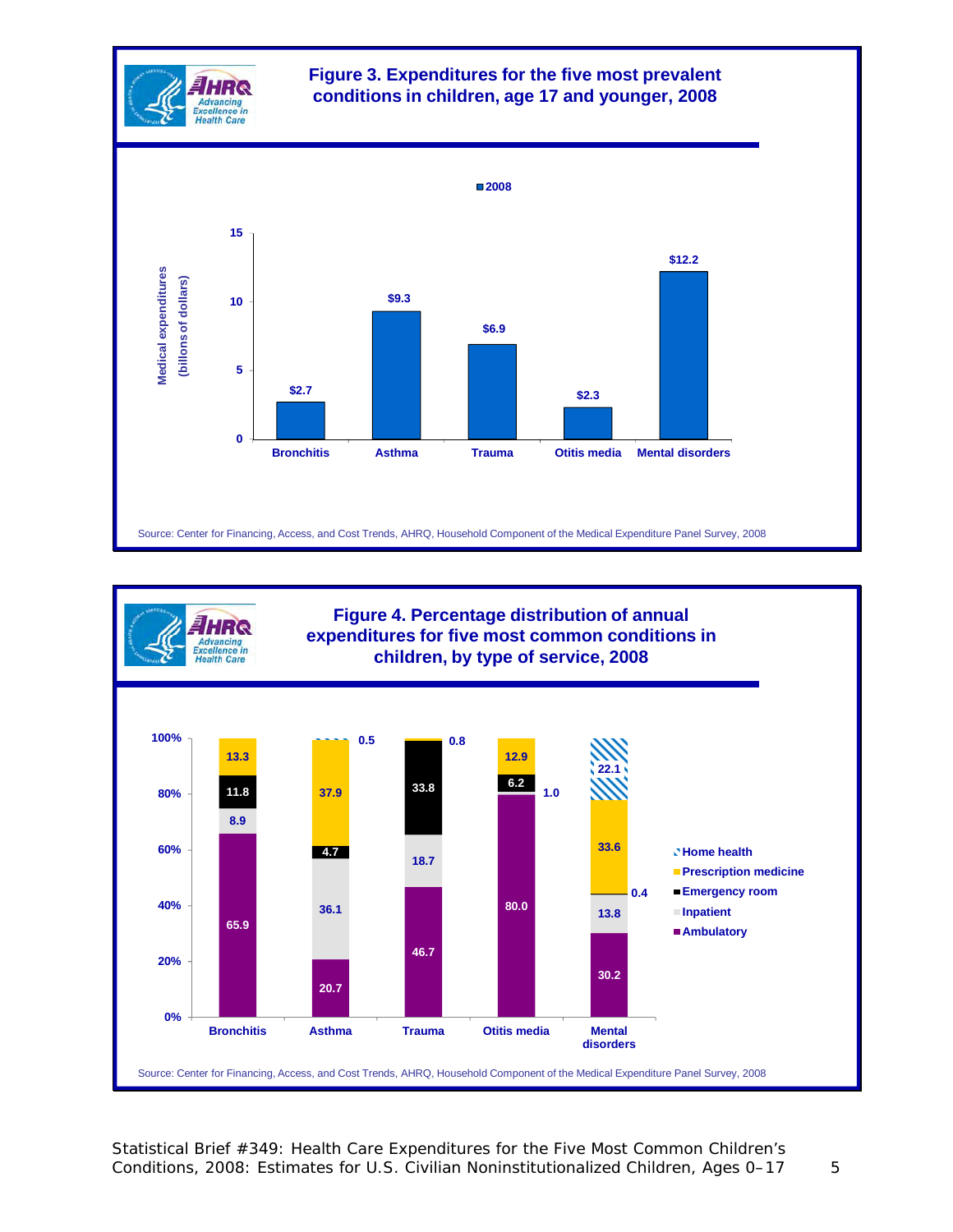



Statistical Brief #349: Health Care Expenditures for the Five Most Common Children's Conditions, 2008: Estimates for U.S. Civilian Noninstitutionalized Children, Ages 0–17 5